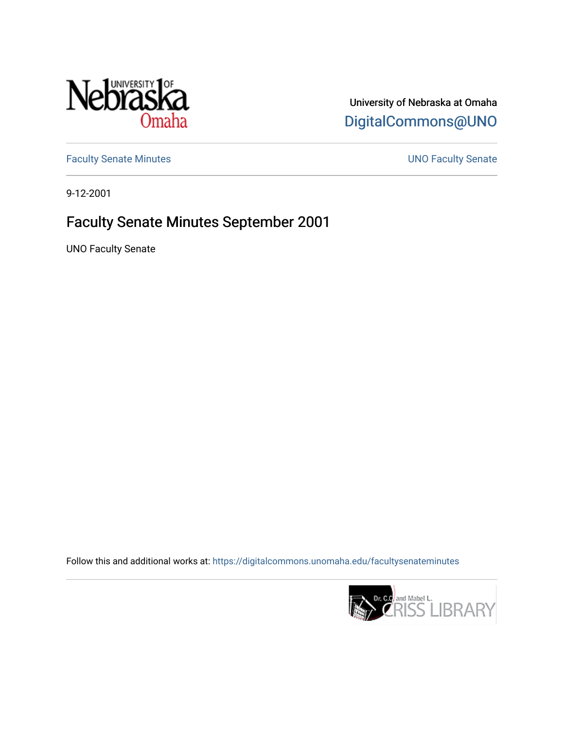

University of Nebraska at Omaha [DigitalCommons@UNO](https://digitalcommons.unomaha.edu/) 

[Faculty Senate Minutes](https://digitalcommons.unomaha.edu/facultysenateminutes) **Exercise Senate UNO Faculty Senate** 

9-12-2001

## Faculty Senate Minutes September 2001

UNO Faculty Senate

Follow this and additional works at: [https://digitalcommons.unomaha.edu/facultysenateminutes](https://digitalcommons.unomaha.edu/facultysenateminutes?utm_source=digitalcommons.unomaha.edu%2Ffacultysenateminutes%2F94&utm_medium=PDF&utm_campaign=PDFCoverPages) 

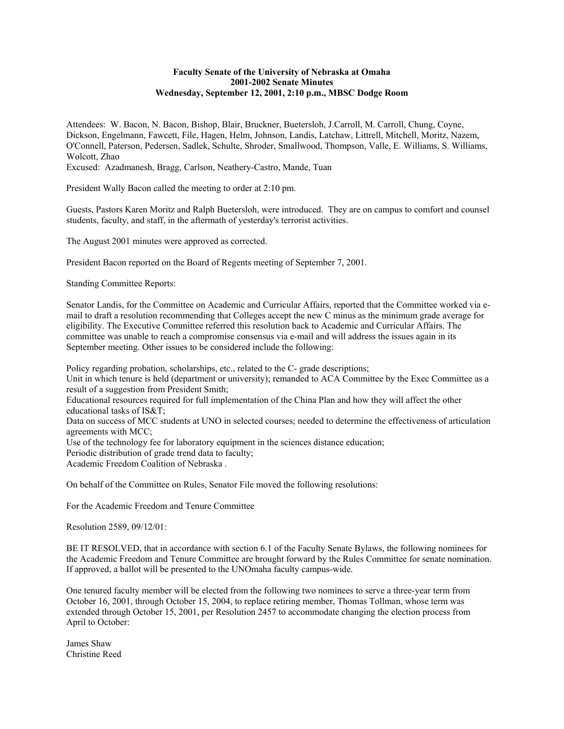## **Faculty Senate of the University of Nebraska at Omaha 2001-2002 Senate Minutes Wednesday, September 12, 2001, 2:10 p.m., MBSC Dodge Room**

Attendees: W. Bacon, N. Bacon, Bishop, Blair, Bruckner, Buetersloh, J.Carroll, M. Carroll, Chung, Coyne, Dickson, Engelmann, Fawcett, File, Hagen, Helm, Johnson, Landis, Latchaw, Littrell, Mitchell, Moritz, Nazem, O'Connell, Paterson, Pedersen, Sadlek, Schulte, Shroder, Smallwood, Thompson, Valle, E. Williams, S. Williams, Wolcott, Zhao

Excused: Azadmanesh, Bragg, Carlson, Neathery-Castro, Mande, Tuan

President Wally Bacon called the meeting to order at 2:10 pm.

Guests, Pastors Karen Moritz and Ralph Buetersloh, were introduced. They are on campus to comfort and counsel students, faculty, and staff, in the aftermath of yesterday's terrorist activities.

The August 2001 minutes were approved as corrected.

President Bacon reported on the Board of Regents meeting of September 7, 2001.

Standing Committee Reports:

Senator Landis, for the Committee on Academic and Curricular Affairs, reported that the Committee worked via email to draft a resolution recommending that Colleges accept the new C minus as the minimum grade average for eligibility. The Executive Committee referred this resolution back to Academic and Curricular Affairs. The committee was unable to reach a compromise consensus via e-mail and will address the issues again in its September meeting. Other issues to be considered include the following:

Policy regarding probation, scholarships, etc., related to the C- grade descriptions;

Unit in which tenure is held (department or university); remanded to ACA Committee by the Exec Committee as a result of a suggestion from President Smith;

Educational resources required for full implementation of the China Plan and how they will affect the other educational tasks of IS&T;

Data on success of MCC students at UNO in selected courses; needed to determine the effectiveness of articulation agreements with MCC;

Use of the technology fee for laboratory equipment in the sciences distance education;

Periodic distribution of grade trend data to faculty;

Academic Freedom Coalition of Nebraska .

On behalf of the Committee on Rules, Senator File moved the following resolutions:

For the Academic Freedom and Tenure Committee

Resolution 2589, 09/12/01:

BE IT RESOLVED, that in accordance with section 6.1 of the Faculty Senate Bylaws, the following nominees for the Academic Freedom and Tenure Committee are brought forward by the Rules Committee for senate nomination. If approved, a ballot will be presented to the UNOmaha faculty campus-wide.

One tenured faculty member will be elected from the following two nominees to serve a three-year term from October 16, 2001, through October 15, 2004, to replace retiring member, Thomas Tollman, whose term was extended through October 15, 2001, per Resolution 2457 to accommodate changing the election process from April to October:

James Shaw Christine Reed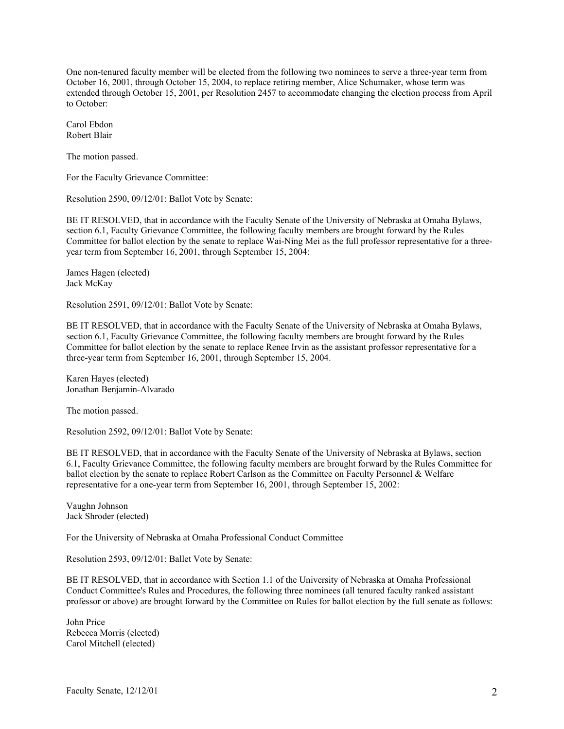One non-tenured faculty member will be elected from the following two nominees to serve a three-year term from October 16, 2001, through October 15, 2004, to replace retiring member, Alice Schumaker, whose term was extended through October 15, 2001, per Resolution 2457 to accommodate changing the election process from April to October:

Carol Ebdon Robert Blair

The motion passed.

For the Faculty Grievance Committee:

Resolution 2590, 09/12/01: Ballot Vote by Senate:

BE IT RESOLVED, that in accordance with the Faculty Senate of the University of Nebraska at Omaha Bylaws, section 6.1, Faculty Grievance Committee, the following faculty members are brought forward by the Rules Committee for ballot election by the senate to replace Wai-Ning Mei as the full professor representative for a threeyear term from September 16, 2001, through September 15, 2004:

James Hagen (elected) Jack McKay

Resolution 2591, 09/12/01: Ballot Vote by Senate:

BE IT RESOLVED, that in accordance with the Faculty Senate of the University of Nebraska at Omaha Bylaws, section 6.1, Faculty Grievance Committee, the following faculty members are brought forward by the Rules Committee for ballot election by the senate to replace Renee Irvin as the assistant professor representative for a three-year term from September 16, 2001, through September 15, 2004.

Karen Hayes (elected) Jonathan Benjamin-Alvarado

The motion passed.

Resolution 2592, 09/12/01: Ballot Vote by Senate:

BE IT RESOLVED, that in accordance with the Faculty Senate of the University of Nebraska at Bylaws, section 6.1, Faculty Grievance Committee, the following faculty members are brought forward by the Rules Committee for ballot election by the senate to replace Robert Carlson as the Committee on Faculty Personnel & Welfare representative for a one-year term from September 16, 2001, through September 15, 2002:

Vaughn Johnson Jack Shroder (elected)

For the University of Nebraska at Omaha Professional Conduct Committee

Resolution 2593, 09/12/01: Ballet Vote by Senate:

BE IT RESOLVED, that in accordance with Section 1.1 of the University of Nebraska at Omaha Professional Conduct Committee's Rules and Procedures, the following three nominees (all tenured faculty ranked assistant professor or above) are brought forward by the Committee on Rules for ballot election by the full senate as follows:

John Price Rebecca Morris (elected) Carol Mitchell (elected)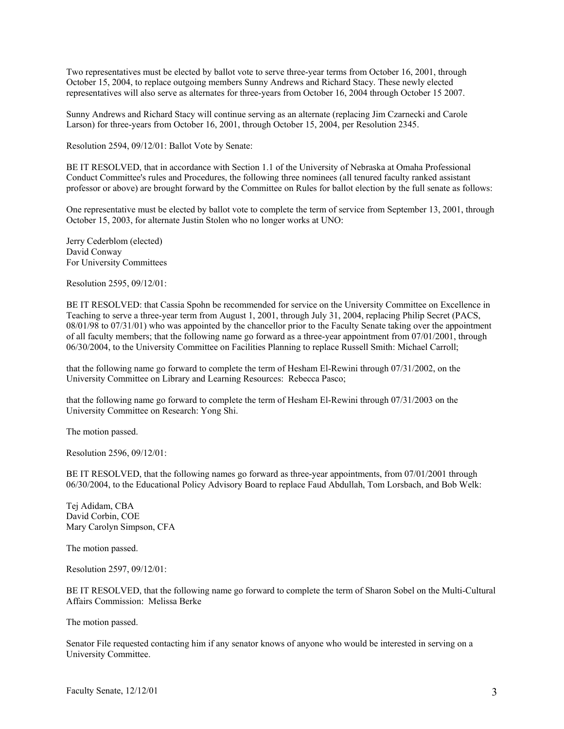Two representatives must be elected by ballot vote to serve three-year terms from October 16, 2001, through October 15, 2004, to replace outgoing members Sunny Andrews and Richard Stacy. These newly elected representatives will also serve as alternates for three-years from October 16, 2004 through October 15 2007.

Sunny Andrews and Richard Stacy will continue serving as an alternate (replacing Jim Czarnecki and Carole Larson) for three-years from October 16, 2001, through October 15, 2004, per Resolution 2345.

Resolution 2594, 09/12/01: Ballot Vote by Senate:

BE IT RESOLVED, that in accordance with Section 1.1 of the University of Nebraska at Omaha Professional Conduct Committee's rules and Procedures, the following three nominees (all tenured faculty ranked assistant professor or above) are brought forward by the Committee on Rules for ballot election by the full senate as follows:

One representative must be elected by ballot vote to complete the term of service from September 13, 2001, through October 15, 2003, for alternate Justin Stolen who no longer works at UNO:

Jerry Cederblom (elected) David Conway For University Committees

Resolution 2595, 09/12/01:

BE IT RESOLVED: that Cassia Spohn be recommended for service on the University Committee on Excellence in Teaching to serve a three-year term from August 1, 2001, through July 31, 2004, replacing Philip Secret (PACS, 08/01/98 to 07/31/01) who was appointed by the chancellor prior to the Faculty Senate taking over the appointment of all faculty members; that the following name go forward as a three-year appointment from 07/01/2001, through 06/30/2004, to the University Committee on Facilities Planning to replace Russell Smith: Michael Carroll;

that the following name go forward to complete the term of Hesham El-Rewini through 07/31/2002, on the University Committee on Library and Learning Resources: Rebecca Pasco;

that the following name go forward to complete the term of Hesham El-Rewini through 07/31/2003 on the University Committee on Research: Yong Shi.

The motion passed.

Resolution 2596, 09/12/01:

BE IT RESOLVED, that the following names go forward as three-year appointments, from 07/01/2001 through 06/30/2004, to the Educational Policy Advisory Board to replace Faud Abdullah, Tom Lorsbach, and Bob Welk:

Tej Adidam, CBA David Corbin, COE Mary Carolyn Simpson, CFA

The motion passed.

Resolution 2597, 09/12/01:

BE IT RESOLVED, that the following name go forward to complete the term of Sharon Sobel on the Multi-Cultural Affairs Commission: Melissa Berke

The motion passed.

Senator File requested contacting him if any senator knows of anyone who would be interested in serving on a University Committee.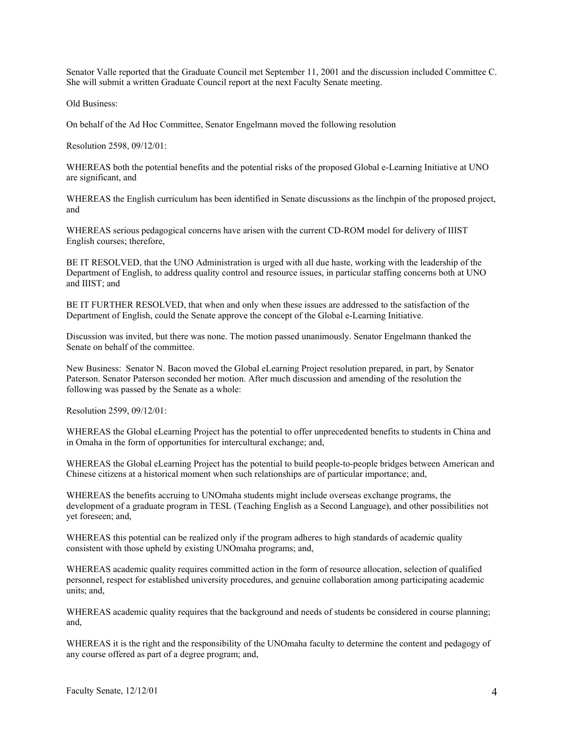Senator Valle reported that the Graduate Council met September 11, 2001 and the discussion included Committee C. She will submit a written Graduate Council report at the next Faculty Senate meeting.

Old Business:

On behalf of the Ad Hoc Committee, Senator Engelmann moved the following resolution

Resolution 2598, 09/12/01:

WHEREAS both the potential benefits and the potential risks of the proposed Global e-Learning Initiative at UNO are significant, and

WHEREAS the English curriculum has been identified in Senate discussions as the linchpin of the proposed project, and

WHEREAS serious pedagogical concerns have arisen with the current CD-ROM model for delivery of IIIST English courses; therefore,

BE IT RESOLVED, that the UNO Administration is urged with all due haste, working with the leadership of the Department of English, to address quality control and resource issues, in particular staffing concerns both at UNO and IIIST; and

BE IT FURTHER RESOLVED, that when and only when these issues are addressed to the satisfaction of the Department of English, could the Senate approve the concept of the Global e-Learning Initiative.

Discussion was invited, but there was none. The motion passed unanimously. Senator Engelmann thanked the Senate on behalf of the committee.

New Business: Senator N. Bacon moved the Global eLearning Project resolution prepared, in part, by Senator Paterson. Senator Paterson seconded her motion. After much discussion and amending of the resolution the following was passed by the Senate as a whole:

Resolution 2599, 09/12/01:

WHEREAS the Global eLearning Project has the potential to offer unprecedented benefits to students in China and in Omaha in the form of opportunities for intercultural exchange; and,

WHEREAS the Global eLearning Project has the potential to build people-to-people bridges between American and Chinese citizens at a historical moment when such relationships are of particular importance; and,

WHEREAS the benefits accruing to UNOmaha students might include overseas exchange programs, the development of a graduate program in TESL (Teaching English as a Second Language), and other possibilities not yet foreseen; and,

WHEREAS this potential can be realized only if the program adheres to high standards of academic quality consistent with those upheld by existing UNOmaha programs; and,

WHEREAS academic quality requires committed action in the form of resource allocation, selection of qualified personnel, respect for established university procedures, and genuine collaboration among participating academic units; and,

WHEREAS academic quality requires that the background and needs of students be considered in course planning; and,

WHEREAS it is the right and the responsibility of the UNOmaha faculty to determine the content and pedagogy of any course offered as part of a degree program; and,